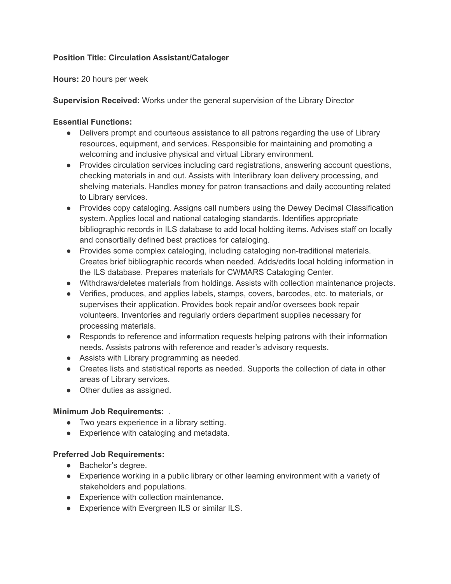# **Position Title: Circulation Assistant/Cataloger**

**Hours:** 20 hours per week

**Supervision Received:** Works under the general supervision of the Library Director

#### **Essential Functions:**

- ● Delivers prompt and courteous assistance to all patrons regarding the use of Library resources, equipment, and services. Responsible for maintaining and promoting a welcoming and inclusive physical and virtual Library environment.
- ● Provides circulation services including card registrations, answering account questions, checking materials in and out. Assists with Interlibrary loan delivery processing, and shelving materials. Handles money for patron transactions and daily accounting related to Library services.
- ● Provides copy cataloging. Assigns call numbers using the Dewey Decimal Classification system. Applies local and national cataloging standards. Identifies appropriate bibliographic records in ILS database to add local holding items. Advises staff on locally and consortially defined best practices for cataloging.
- ● Provides some complex cataloging, including cataloging non-traditional materials. Creates brief bibliographic records when needed. Adds/edits local holding information in the ILS database. Prepares materials for CWMARS Cataloging Center.
- Withdraws/deletes materials from holdings. Assists with collection maintenance projects.
- ● Verifies, produces, and applies labels, stamps, covers, barcodes, etc. to materials, or supervises their application. Provides book repair and/or oversees book repair volunteers. Inventories and regularly orders department supplies necessary for processing materials.
- ● Responds to reference and information requests helping patrons with their information needs. Assists patrons with reference and reader's advisory requests.
- Assists with Library programming as needed.
- ● Creates lists and statistical reports as needed. Supports the collection of data in other areas of Library services.
- Other duties as assigned.

## **Minimum Job Requirements:** .

- Two years experience in a library setting.
- Experience with cataloging and metadata.

## **Preferred Job Requirements:**

- Bachelor's degree.
- ● Experience working in a public library or other learning environment with a variety of stakeholders and populations.
- Experience with collection maintenance.
- Experience with Evergreen ILS or similar ILS.